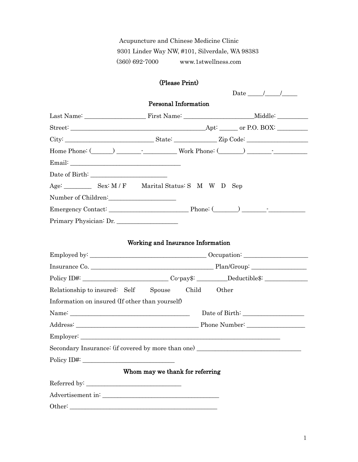Acupuncture and Chinese Medicine Clinic 9301 Linder Way NW, #101, Silverdale, WA 98383 (360) 692-7000 www.1stwellness.com

# (Please Print)

| Date $\frac{\sqrt{2}}{2}$                                                          |  |  |  |  |  |  |  |
|------------------------------------------------------------------------------------|--|--|--|--|--|--|--|
| <b>Personal Information</b>                                                        |  |  |  |  |  |  |  |
|                                                                                    |  |  |  |  |  |  |  |
|                                                                                    |  |  |  |  |  |  |  |
|                                                                                    |  |  |  |  |  |  |  |
|                                                                                    |  |  |  |  |  |  |  |
|                                                                                    |  |  |  |  |  |  |  |
|                                                                                    |  |  |  |  |  |  |  |
| Age: Sex: M/F Marital Status: S M W D Sep                                          |  |  |  |  |  |  |  |
|                                                                                    |  |  |  |  |  |  |  |
|                                                                                    |  |  |  |  |  |  |  |
| Primary Physician: Dr.                                                             |  |  |  |  |  |  |  |
|                                                                                    |  |  |  |  |  |  |  |
| Working and Insurance Information                                                  |  |  |  |  |  |  |  |
|                                                                                    |  |  |  |  |  |  |  |
|                                                                                    |  |  |  |  |  |  |  |
| Policy ID#: ___________________________Co-pay\$: _________Deductible\$: __________ |  |  |  |  |  |  |  |
| Relationship to insured: Self Spouse Child Other                                   |  |  |  |  |  |  |  |
| Information on insured (If other than yourself)                                    |  |  |  |  |  |  |  |
|                                                                                    |  |  |  |  |  |  |  |
|                                                                                    |  |  |  |  |  |  |  |
|                                                                                    |  |  |  |  |  |  |  |
|                                                                                    |  |  |  |  |  |  |  |
| Secondary Insurance: (if covered by more than one)                                 |  |  |  |  |  |  |  |
| Policy ID#:                                                                        |  |  |  |  |  |  |  |
| Whom may we thank for referring                                                    |  |  |  |  |  |  |  |
|                                                                                    |  |  |  |  |  |  |  |
|                                                                                    |  |  |  |  |  |  |  |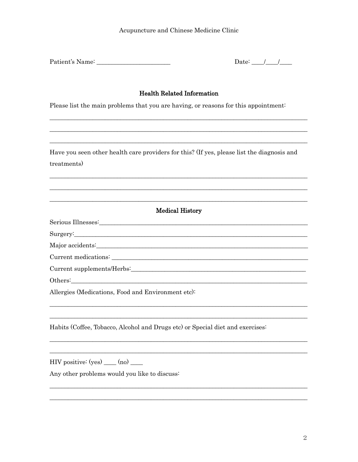| Patient's Name: |  |
|-----------------|--|
|                 |  |

Date:  $\frac{1}{\sqrt{2}}$ 

### **Health Related Information**

Please list the main problems that you are having, or reasons for this appointment:

Have you seen other health care providers for this? (If yes, please list the diagnosis and treatments)

<u> 1989 - Johann John Stein, mars an deus Amerikaansk kommunister (\* 1950)</u>

| Serious Illnesses: |  |
|--------------------|--|
|--------------------|--|

Surgery:

|  |  | Major accidents: |
|--|--|------------------|
|--|--|------------------|

Current medications: Letters and the second state of the second state of the second state of the second state of the second state of the second state of the second state of the second state of the second state of the secon

Current supplements/Herbs: New York Structure of the Current supplements/Herbs:

Others:

Allergies (Medications, Food and Environment etc):

Habits (Coffee, Tobacco, Alcohol and Drugs etc) or Special diet and exercises:

 $HIV$  positive:  $(yes)$  (no) \_\_\_\_\_\_\_

Any other problems would you like to discuss: